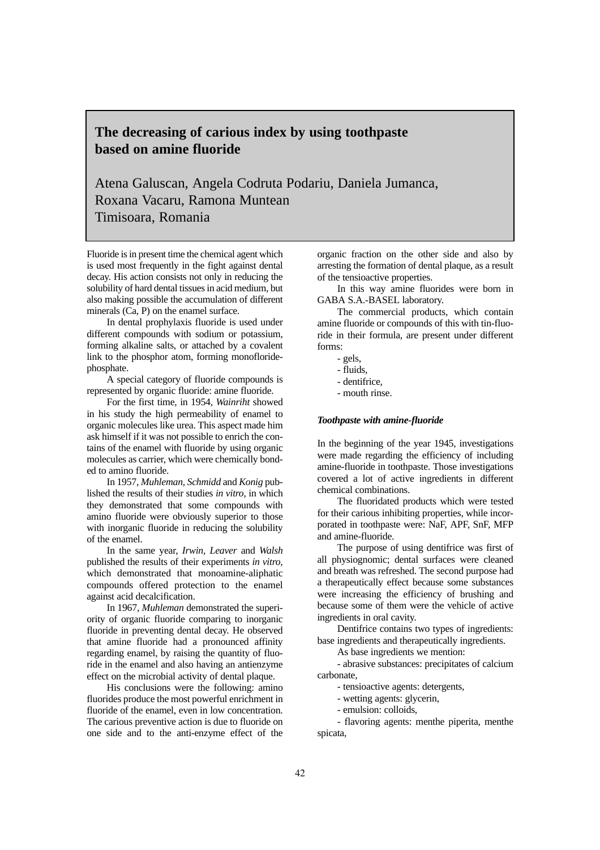# **The decreasing of carious index by using toothpaste based on amine fluoride**

Atena Galuscan, Angela Codruta Podariu, Daniela Jumanca, Roxana Vacaru, Ramona Muntean Timisoara, Romania

Fluoride is in present time the chemical agent which is used most frequently in the fight against dental decay. His action consists not only in reducing the solubility of hard dental tissues in acid medium, but also making possible the accumulation of different minerals (Ca, P) on the enamel surface.

In dental prophylaxis fluoride is used under different compounds with sodium or potassium, forming alkaline salts, or attached by a covalent link to the phosphor atom, forming monofloridephosphate.

A special category of fluoride compounds is represented by organic fluoride: amine fluoride.

For the first time, in 1954, *Wainriht* showed in his study the high permeability of enamel to organic molecules like urea. This aspect made him ask himself if it was not possible to enrich the contains of the enamel with fluoride by using organic molecules as carrier, which were chemically bonded to amino fluoride.

In 1957, *Muhleman, Schmidd* and *Konig* published the results of their studies *in vitro,* in which they demonstrated that some compounds with amino fluoride were obviously superior to those with inorganic fluoride in reducing the solubility of the enamel.

In the same year, *Irwin, Leaver* and *Walsh* published the results of their experiments *in vitro,* which demonstrated that monoamine-aliphatic compounds offered protection to the enamel against acid decalcification.

In 1967, *Muhleman* demonstrated the superiority of organic fluoride comparing to inorganic fluoride in preventing dental decay. He observed that amine fluoride had a pronounced affinity regarding enamel, by raising the quantity of fluoride in the enamel and also having an antienzyme effect on the microbial activity of dental plaque.

His conclusions were the following: amino fluorides produce the most powerful enrichment in fluoride of the enamel, even in low concentration. The carious preventive action is due to fluoride on one side and to the anti-enzyme effect of the

organic fraction on the other side and also by arresting the formation of dental plaque, as a result of the tensioactive properties.

In this way amine fluorides were born in GABA S.A.-BASEL laboratory.

The commercial products, which contain amine fluoride or compounds of this with tin-fluoride in their formula, are present under different forms:

- gels,
- fluids,
- dentifrice,
- mouth rinse.

#### *Toothpaste with amine-fluoride*

In the beginning of the year 1945, investigations were made regarding the efficiency of including amine-fluoride in toothpaste. Those investigations covered a lot of active ingredients in different chemical combinations.

The fluoridated products which were tested for their carious inhibiting properties, while incorporated in toothpaste were: NaF, APF, SnF, MFP and amine-fluoride.

The purpose of using dentifrice was first of all physiognomic; dental surfaces were cleaned and breath was refreshed. The second purpose had a therapeutically effect because some substances were increasing the efficiency of brushing and because some of them were the vehicle of active ingredients in oral cavity.

Dentifrice contains two types of ingredients: base ingredients and therapeutically ingredients.

As base ingredients we mention:

- abrasive substances: precipitates of calcium carbonate,

- tensioactive agents: detergents,

- wetting agents: glycerin,

- emulsion: colloids,

- flavoring agents: menthe piperita, menthe spicata,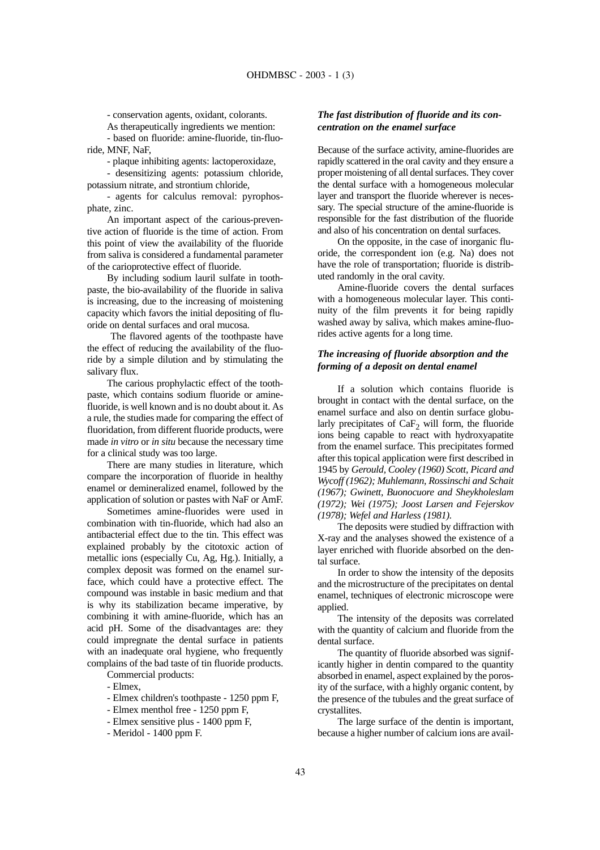- conservation agents, oxidant, colorants.

As therapeutically ingredients we mention: - based on fluoride: amine-fluoride, tin-fluo-

ride, MNF, NaF,

- plaque inhibiting agents: lactoperoxidaze,

- desensitizing agents: potassium chloride, potassium nitrate, and strontium chloride,

- agents for calculus removal: pyrophosphate, zinc.

An important aspect of the carious-preventive action of fluoride is the time of action. From this point of view the availability of the fluoride from saliva is considered a fundamental parameter of the carioprotective effect of fluoride.

By including sodium lauril sulfate in toothpaste, the bio-availability of the fluoride in saliva is increasing, due to the increasing of moistening capacity which favors the initial depositing of fluoride on dental surfaces and oral mucosa.

The flavored agents of the toothpaste have the effect of reducing the availability of the fluoride by a simple dilution and by stimulating the salivary flux.

The carious prophylactic effect of the toothpaste, which contains sodium fluoride or aminefluoride, is well known and is no doubt about it. As a rule, the studies made for comparing the effect of fluoridation, from different fluoride products, were made *in vitro* or *in situ* because the necessary time for a clinical study was too large.

There are many studies in literature, which compare the incorporation of fluoride in healthy enamel or demineralized enamel, followed by the application of solution or pastes with NaF or AmF.

Sometimes amine-fluorides were used in combination with tin-fluoride, which had also an antibacterial effect due to the tin. This effect was explained probably by the citotoxic action of metallic ions (especially Cu, Ag, Hg.). Initially, a complex deposit was formed on the enamel surface, which could have a protective effect. The compound was instable in basic medium and that is why its stabilization became imperative, by combining it with amine-fluoride, which has an acid pH. Some of the disadvantages are: they could impregnate the dental surface in patients with an inadequate oral hygiene, who frequently complains of the bad taste of tin fluoride products.

Commercial products:

- Elmex,

- Elmex children's toothpaste 1250 ppm F,
- Elmex menthol free 1250 ppm F,
- Elmex sensitive plus 1400 ppm F,
- Meridol 1400 ppm F.

# *The fast distribution of fluoride and its concentration on the enamel surface*

Because of the surface activity, amine-fluorides are rapidly scattered in the oral cavity and they ensure a proper moistening of all dental surfaces. They cover the dental surface with a homogeneous molecular layer and transport the fluoride wherever is necessary. The special structure of the amine-fluoride is responsible for the fast distribution of the fluoride and also of his concentration on dental surfaces.

On the opposite, in the case of inorganic fluoride, the correspondent ion (e.g. Na) does not have the role of transportation; fluoride is distributed randomly in the oral cavity.

Amine-fluoride covers the dental surfaces with a homogeneous molecular layer. This continuity of the film prevents it for being rapidly washed away by saliva, which makes amine-fluorides active agents for a long time.

## *The increasing of fluoride absorption and the forming of a deposit on dental enamel*

If a solution which contains fluoride is brought in contact with the dental surface, on the enamel surface and also on dentin surface globularly precipitates of  $CaF<sub>2</sub>$  will form, the fluoride ions being capable to react with hydroxyapatite from the enamel surface. This precipitates formed after this topical application were first described in 1945 by *Gerould, Cooley (1960) Scott, Picard and Wycoff (1962); Muhlemann, Rossinschi and Schait (1967); Gwinett, Buonocuore and Sheykholeslam (1972); Wei (1975); Joost Larsen and Fejerskov (1978); Wefel and Harless (1981).*

The deposits were studied by diffraction with X-ray and the analyses showed the existence of a layer enriched with fluoride absorbed on the dental surface.

In order to show the intensity of the deposits and the microstructure of the precipitates on dental enamel, techniques of electronic microscope were applied.

The intensity of the deposits was correlated with the quantity of calcium and fluoride from the dental surface.

The quantity of fluoride absorbed was significantly higher in dentin compared to the quantity absorbed in enamel, aspect explained by the porosity of the surface, with a highly organic content, by the presence of the tubules and the great surface of crystallites.

The large surface of the dentin is important, because a higher number of calcium ions are avail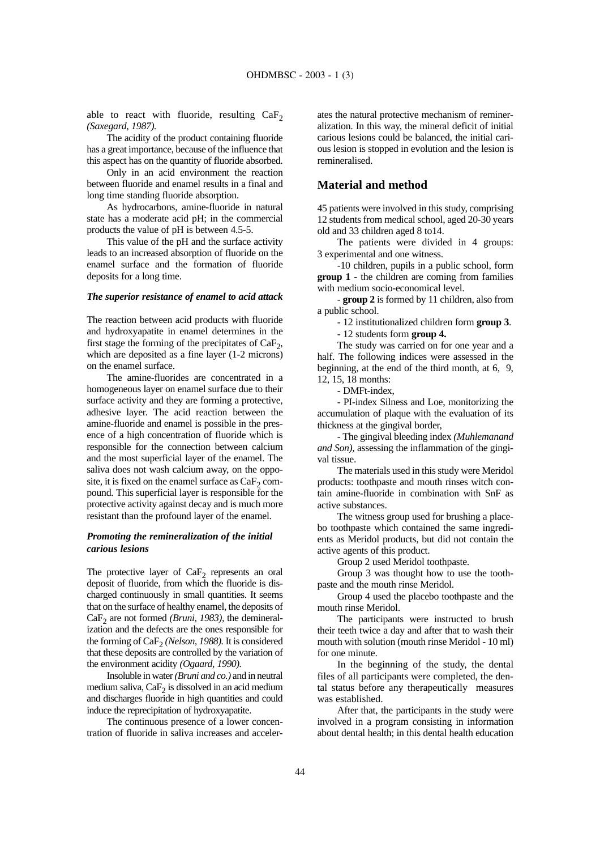able to react with fluoride, resulting  $CaF<sub>2</sub>$ *(Saxegard, 1987).*

The acidity of the product containing fluoride has a great importance, because of the influence that this aspect has on the quantity of fluoride absorbed.

Only in an acid environment the reaction between fluoride and enamel results in a final and long time standing fluoride absorption.

As hydrocarbons, amine-fluoride in natural state has a moderate acid pH; in the commercial products the value of pH is between 4.5-5.

This value of the pH and the surface activity leads to an increased absorption of fluoride on the enamel surface and the formation of fluoride deposits for a long time.

#### *The superior resistance of enamel to acid attack*

The reaction between acid products with fluoride and hydroxyapatite in enamel determines in the first stage the forming of the precipitates of  $CaF<sub>2</sub>$ , which are deposited as a fine layer (1-2 microns) on the enamel surface.

The amine-fluorides are concentrated in a homogeneous layer on enamel surface due to their surface activity and they are forming a protective, adhesive layer. The acid reaction between the amine-fluoride and enamel is possible in the presence of a high concentration of fluoride which is responsible for the connection between calcium and the most superficial layer of the enamel. The saliva does not wash calcium away, on the opposite, it is fixed on the enamel surface as  $CaF<sub>2</sub>$  compound. This superficial layer is responsible for the protective activity against decay and is much more resistant than the profound layer of the enamel.

# *Promoting the remineralization of the initial carious lesions*

The protective layer of  $CaF<sub>2</sub>$  represents an oral deposit of fluoride, from which the fluoride is discharged continuously in small quantities. It seems that on the surface of healthy enamel, the deposits of CaF<sub>2</sub> are not formed *(Bruni, 1983)*, the demineralization and the defects are the ones responsible for the forming of CaF<sub>2</sub> *(Nelson, 1988)*. It is considered that these deposits are controlled by the variation of the environment acidity *(Ogaard, 1990).* 

Insoluble in water *(Bruni and co.)* and in neutral medium saliva,  $CaF<sub>2</sub>$  is dissolved in an acid medium and discharges fluoride in high quantities and could induce the reprecipitation of hydroxyapatite.

The continuous presence of a lower concentration of fluoride in saliva increases and accelerates the natural protective mechanism of remineralization. In this way, the mineral deficit of initial carious lesions could be balanced, the initial carious lesion is stopped in evolution and the lesion is remineralised.

# **Material and method**

45 patients were involved in this study, comprising 12 students from medical school, aged 20-30 years old and 33 children aged 8 to14.

The patients were divided in 4 groups: 3 experimental and one witness.

-10 children, pupils in a public school, form **group 1** - the children are coming from families with medium socio-economical level.

- **group 2** is formed by 11 children, also from a public school.

- 12 institutionalized children form **group 3**.

- 12 students form **group 4.**

The study was carried on for one year and a half. The following indices were assessed in the beginning, at the end of the third month, at 6, 9, 12, 15, 18 months:

- DMFt-index,

- PI-index Silness and Loe, monitorizing the accumulation of plaque with the evaluation of its thickness at the gingival border,

- The gingival bleeding index *(Muhlemanand and Son),* assessing the inflammation of the gingival tissue.

The materials used in this study were Meridol products: toothpaste and mouth rinses witch contain amine-fluoride in combination with SnF as active substances.

The witness group used for brushing a placebo toothpaste which contained the same ingredients as Meridol products, but did not contain the active agents of this product.

Group 2 used Meridol toothpaste.

Group 3 was thought how to use the toothpaste and the mouth rinse Meridol.

Group 4 used the placebo toothpaste and the mouth rinse Meridol.

The participants were instructed to brush their teeth twice a day and after that to wash their mouth with solution (mouth rinse Meridol - 10 ml) for one minute.

In the beginning of the study, the dental files of all participants were completed, the dental status before any therapeutically measures was established.

After that, the participants in the study were involved in a program consisting in information about dental health; in this dental health education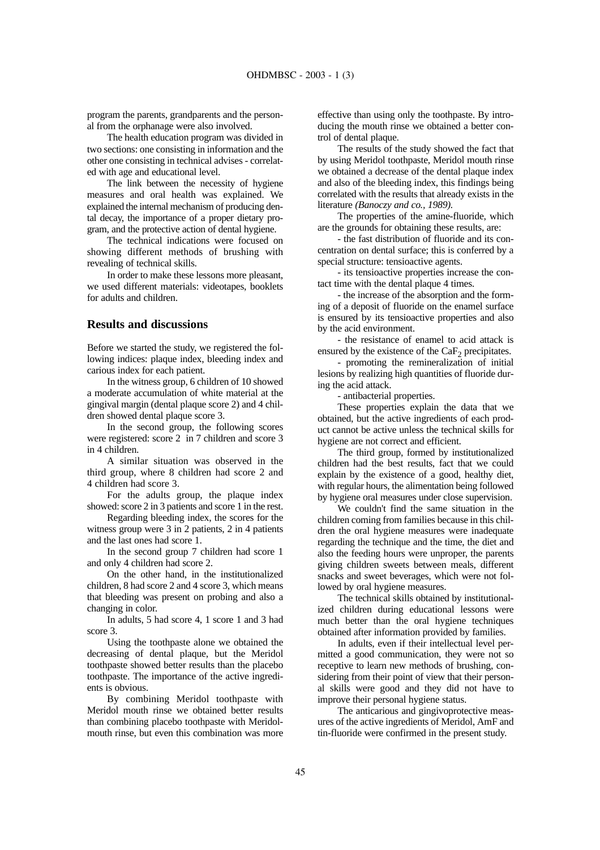program the parents, grandparents and the personal from the orphanage were also involved.

The health education program was divided in two sections: one consisting in information and the other one consisting in technical advises - correlated with age and educational level.

The link between the necessity of hygiene measures and oral health was explained. We explained the internal mechanism of producing dental decay, the importance of a proper dietary program, and the protective action of dental hygiene.

The technical indications were focused on showing different methods of brushing with revealing of technical skills.

In order to make these lessons more pleasant, we used different materials: videotapes, booklets for adults and children.

# **Results and discussions**

Before we started the study, we registered the following indices: plaque index, bleeding index and carious index for each patient.

In the witness group, 6 children of 10 showed a moderate accumulation of white material at the gingival margin (dental plaque score 2) and 4 children showed dental plaque score 3.

In the second group, the following scores were registered: score 2 in 7 children and score 3 in 4 children.

A similar situation was observed in the third group, where 8 children had score 2 and 4 children had score 3.

For the adults group, the plaque index showed: score 2 in 3 patients and score 1 in the rest.

Regarding bleeding index, the scores for the witness group were 3 in 2 patients, 2 in 4 patients and the last ones had score 1.

In the second group 7 children had score 1 and only 4 children had score 2.

On the other hand, in the institutionalized children, 8 had score 2 and 4 score 3, which means that bleeding was present on probing and also a changing in color.

In adults, 5 had score 4, 1 score 1 and 3 had score 3.

Using the toothpaste alone we obtained the decreasing of dental plaque, but the Meridol toothpaste showed better results than the placebo toothpaste. The importance of the active ingredients is obvious.

By combining Meridol toothpaste with Meridol mouth rinse we obtained better results than combining placebo toothpaste with Meridolmouth rinse, but even this combination was more

effective than using only the toothpaste. By introducing the mouth rinse we obtained a better control of dental plaque.

The results of the study showed the fact that by using Meridol toothpaste, Meridol mouth rinse we obtained a decrease of the dental plaque index and also of the bleeding index, this findings being correlated with the results that already exists in the literature *(Banoczy and co., 1989).*

The properties of the amine-fluoride, which are the grounds for obtaining these results, are:

- the fast distribution of fluoride and its concentration on dental surface; this is conferred by a special structure: tensioactive agents.

- its tensioactive properties increase the contact time with the dental plaque 4 times.

- the increase of the absorption and the forming of a deposit of fluoride on the enamel surface is ensured by its tensioactive properties and also by the acid environment.

- the resistance of enamel to acid attack is ensured by the existence of the  $CaF<sub>2</sub>$  precipitates.

- promoting the remineralization of initial lesions by realizing high quantities of fluoride during the acid attack.

- antibacterial properties.

These properties explain the data that we obtained, but the active ingredients of each product cannot be active unless the technical skills for hygiene are not correct and efficient.

The third group, formed by institutionalized children had the best results, fact that we could explain by the existence of a good, healthy diet, with regular hours, the alimentation being followed by hygiene oral measures under close supervision.

We couldn't find the same situation in the children coming from families because in this children the oral hygiene measures were inadequate regarding the technique and the time, the diet and also the feeding hours were unproper, the parents giving children sweets between meals, different snacks and sweet beverages, which were not followed by oral hygiene measures.

The technical skills obtained by institutionalized children during educational lessons were much better than the oral hygiene techniques obtained after information provided by families.

In adults, even if their intellectual level permitted a good communication, they were not so receptive to learn new methods of brushing, considering from their point of view that their personal skills were good and they did not have to improve their personal hygiene status.

The anticarious and gingivoprotective measures of the active ingredients of Meridol, AmF and tin-fluoride were confirmed in the present study.